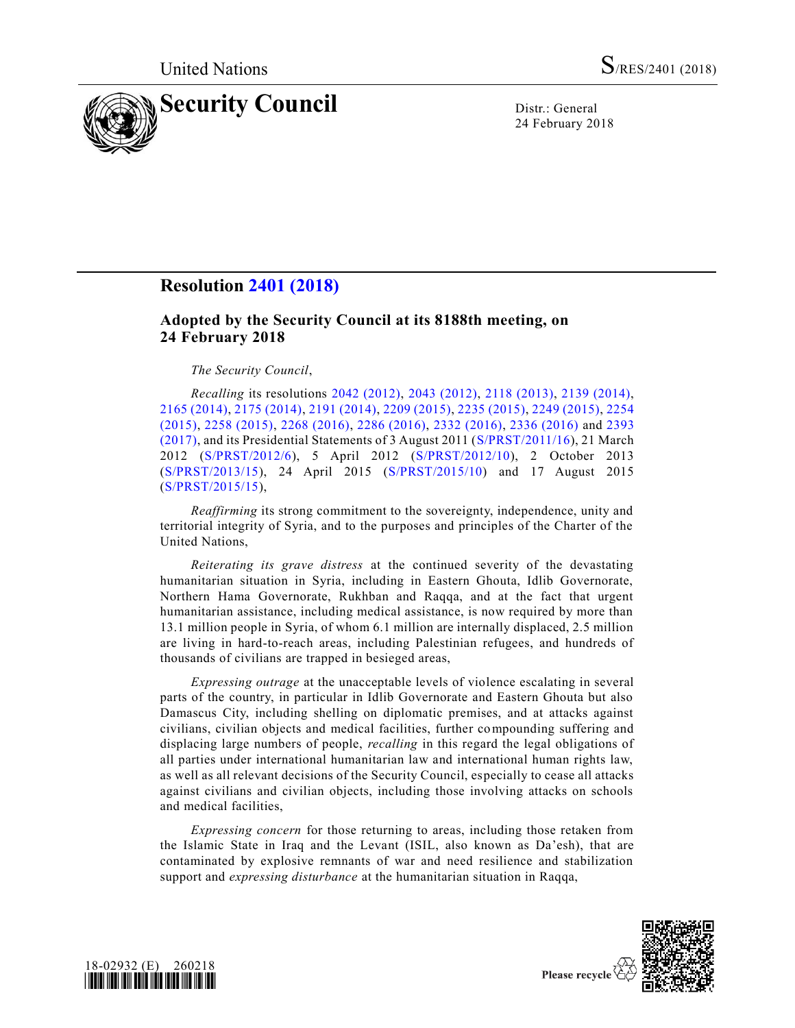

24 February 2018

## **Resolution [2401 \(2018\)](https://undocs.org/S/RES/2401(2018))**

## **Adopted by the Security Council at its 8188th meeting, on 24 February 2018**

## *The Security Council*,

*Recalling* its resolutions [2042 \(2012\),](https://undocs.org/S/RES/2042(2012)) [2043 \(2012\),](https://undocs.org/S/RES/2043(2012)) [2118 \(2013\),](https://undocs.org/S/RES/2118(2013)) [2139 \(2014\),](https://undocs.org/S/RES/2139(2014)) [2165 \(2014\),](https://undocs.org/S/RES/2165(2014)) [2175 \(2014\),](https://undocs.org/S/RES/2175(2014)) [2191 \(2014\),](https://undocs.org/S/RES/2191(2014)) [2209 \(2015\),](https://undocs.org/S/RES/2209(2015)) [2235 \(2015\),](https://undocs.org/S/RES/2235(2015)) [2249 \(2015\),](https://undocs.org/S/RES/2249(2015)) [2254](https://undocs.org/S/RES/2254(2015))  [\(2015\),](https://undocs.org/S/RES/2254(2015)) [2258 \(2015\),](https://undocs.org/S/RES/2258(2015)) [2268 \(2016\),](https://undocs.org/S/RES/2268(2016)) [2286 \(2016\),](https://undocs.org/S/RES/2286(2016)) [2332 \(2016\),](https://undocs.org/S/RES/2332(2016)) [2336 \(2016\)](https://undocs.org/S/RES/2336(2016)) and [2393](https://undocs.org/S/RES/2393(2017))  [\(2017\),](https://undocs.org/S/RES/2393(2017)) and its Presidential Statements of 3 August 2011 [\(S/PRST/2011/16\)](https://undocs.org/S/PRST/2011/16), 21 March 2012 [\(S/PRST/2012/6\)](https://undocs.org/S/PRST/2012/6), 5 April 2012 [\(S/PRST/2012/10\)](https://undocs.org/S/PRST/2012/10), 2 October 2013 [\(S/PRST/2013/15\)](https://undocs.org/S/PRST/2013/15), 24 April 2015 [\(S/PRST/2015/10\)](https://undocs.org/S/PRST/2015/10) and 17 August 2015 [\(S/PRST/2015/15\)](https://undocs.org/S/PRST/2015/15),

*Reaffirming* its strong commitment to the sovereignty, independence, unity and territorial integrity of Syria, and to the purposes and principles of the Charter of the United Nations,

*Reiterating its grave distress* at the continued severity of the devastating humanitarian situation in Syria, including in Eastern Ghouta, Idlib Governorate, Northern Hama Governorate, Rukhban and Raqqa, and at the fact that urgent humanitarian assistance, including medical assistance, is now required by more than 13.1 million people in Syria, of whom 6.1 million are internally displaced, 2.5 million are living in hard-to-reach areas, including Palestinian refugees, and hundreds of thousands of civilians are trapped in besieged areas,

*Expressing outrage* at the unacceptable levels of violence escalating in several parts of the country, in particular in Idlib Governorate and Eastern Ghouta but also Damascus City, including shelling on diplomatic premises, and at attacks against civilians, civilian objects and medical facilities, further compounding suffering and displacing large numbers of people, *recalling* in this regard the legal obligations of all parties under international humanitarian law and international human rights law, as well as all relevant decisions of the Security Council, especially to cease all attacks against civilians and civilian objects, including those involving attacks on schools and medical facilities,

*Expressing concern* for those returning to areas, including those retaken from the Islamic State in Iraq and the Levant (ISIL, also known as Da'esh), that are contaminated by explosive remnants of war and need resilience and stabilization support and *expressing disturbance* at the humanitarian situation in Raqqa,



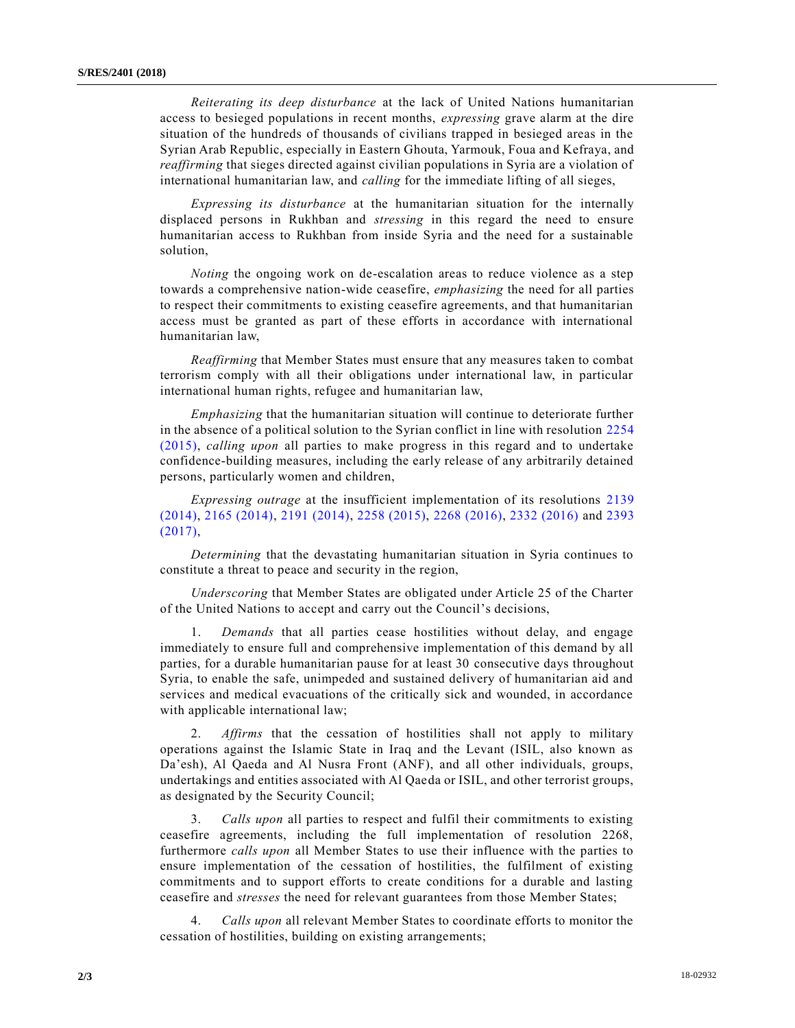*Reiterating its deep disturbance* at the lack of United Nations humanitarian access to besieged populations in recent months, *expressing* grave alarm at the dire situation of the hundreds of thousands of civilians trapped in besieged areas in the Syrian Arab Republic, especially in Eastern Ghouta, Yarmouk, Foua and Kefraya, and *reaffirming* that sieges directed against civilian populations in Syria are a violation of international humanitarian law, and *calling* for the immediate lifting of all sieges,

*Expressing its disturbance* at the humanitarian situation for the internally displaced persons in Rukhban and *stressing* in this regard the need to ensure humanitarian access to Rukhban from inside Syria and the need for a sustainable solution,

*Noting* the ongoing work on de-escalation areas to reduce violence as a step towards a comprehensive nation-wide ceasefire, *emphasizing* the need for all parties to respect their commitments to existing ceasefire agreements, and that humanitarian access must be granted as part of these efforts in accordance with international humanitarian law,

*Reaffirming* that Member States must ensure that any measures taken to combat terrorism comply with all their obligations under international law, in particular international human rights, refugee and humanitarian law,

*Emphasizing* that the humanitarian situation will continue to deteriorate further in the absence of a political solution to the Syrian conflict in line with resolution [2254](https://undocs.org/S/RES/2254(2015))  [\(2015\),](https://undocs.org/S/RES/2254(2015)) *calling upon* all parties to make progress in this regard and to undertake confidence-building measures, including the early release of any arbitrarily detained persons, particularly women and children,

*Expressing outrage* at the insufficient implementation of its resolutions [2139](https://undocs.org/S/RES/2139(2014))  [\(2014\),](https://undocs.org/S/RES/2139(2014)) [2165 \(2014\),](https://undocs.org/S/RES/2165(2014)) [2191 \(2014\),](https://undocs.org/S/RES/2191(2014)) [2258 \(2015\),](https://undocs.org/S/RES/2258(2015)) [2268 \(2016\),](https://undocs.org/S/RES/2268(2016)) [2332 \(2016\)](https://undocs.org/S/RES/2332(2016)) and [2393](https://undocs.org/S/RES/2393(2017))  [\(2017\),](https://undocs.org/S/RES/2393(2017))

*Determining* that the devastating humanitarian situation in Syria continues to constitute a threat to peace and security in the region,

*Underscoring* that Member States are obligated under Article 25 of the Charter of the United Nations to accept and carry out the Council's decisions,

1. *Demands* that all parties cease hostilities without delay, and engage immediately to ensure full and comprehensive implementation of this demand by all parties, for a durable humanitarian pause for at least 30 consecutive days throughout Syria, to enable the safe, unimpeded and sustained delivery of humanitarian aid and services and medical evacuations of the critically sick and wounded, in accordance with applicable international law;

2. *Affirms* that the cessation of hostilities shall not apply to military operations against the Islamic State in Iraq and the Levant (ISIL, also known as Da'esh), Al Qaeda and Al Nusra Front (ANF), and all other individuals, groups, undertakings and entities associated with Al Qaeda or ISIL, and other terrorist groups, as designated by the Security Council;

3. *Calls upon* all parties to respect and fulfil their commitments to existing ceasefire agreements, including the full implementation of resolution 2268, furthermore *calls upon* all Member States to use their influence with the parties to ensure implementation of the cessation of hostilities, the fulfilment of existing commitments and to support efforts to create conditions for a durable and lasting ceasefire and *stresses* the need for relevant guarantees from those Member States;

4. *Calls upon* all relevant Member States to coordinate efforts to monitor the cessation of hostilities, building on existing arrangements;